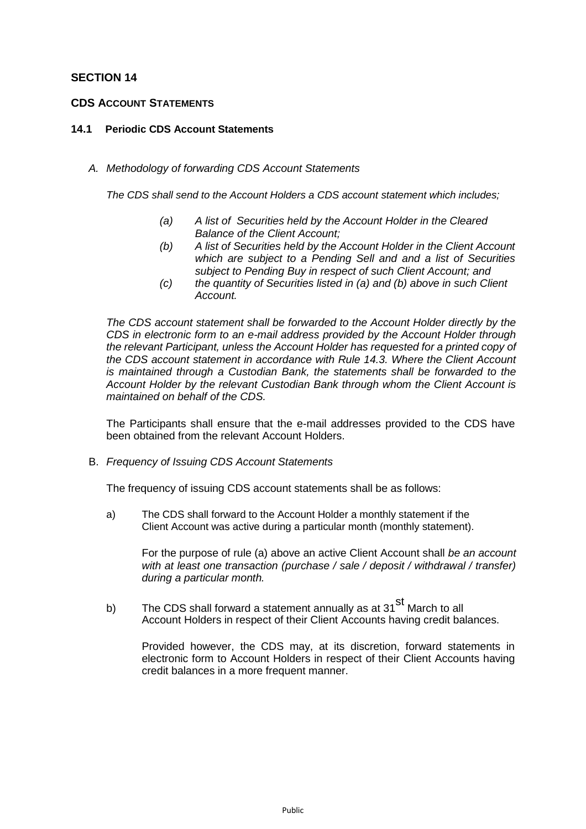# **SECTION 14**

# **CDS ACCOUNT STATEMENTS**

#### **14.1 Periodic CDS Account Statements**

### *A. Methodology of forwarding CDS Account Statements*

*The CDS shall send to the Account Holders a CDS account statement which includes;*

- *(a) A list of Securities held by the Account Holder in the Cleared Balance of the Client Account;*
- *(b) A list of Securities held by the Account Holder in the Client Account which are subject to a Pending Sell and and a list of Securities subject to Pending Buy in respect of such Client Account; and*
- *(c) the quantity of Securities listed in (a) and (b) above in such Client Account.*

*The CDS account statement shall be forwarded to the Account Holder directly by the CDS in electronic form to an e-mail address provided by the Account Holder through the relevant Participant, unless the Account Holder has requested for a printed copy of the CDS account statement in accordance with Rule 14.3. Where the Client Account is maintained through a Custodian Bank, the statements shall be forwarded to the Account Holder by the relevant Custodian Bank through whom the Client Account is maintained on behalf of the CDS.*

The Participants shall ensure that the e-mail addresses provided to the CDS have been obtained from the relevant Account Holders.

B. *Frequency of Issuing CDS Account Statements*

The frequency of issuing CDS account statements shall be as follows:

a) The CDS shall forward to the Account Holder a monthly statement if the Client Account was active during a particular month (monthly statement).

For the purpose of rule (a) above an active Client Account shall *be an account with at least one transaction (purchase / sale / deposit / withdrawal / transfer) during a particular month.*

b) The CDS shall forward a statement annually as at 31 $\mathrm{^{SI}}$  March to all Account Holders in respect of their Client Accounts having credit balances.

Provided however, the CDS may, at its discretion, forward statements in electronic form to Account Holders in respect of their Client Accounts having credit balances in a more frequent manner.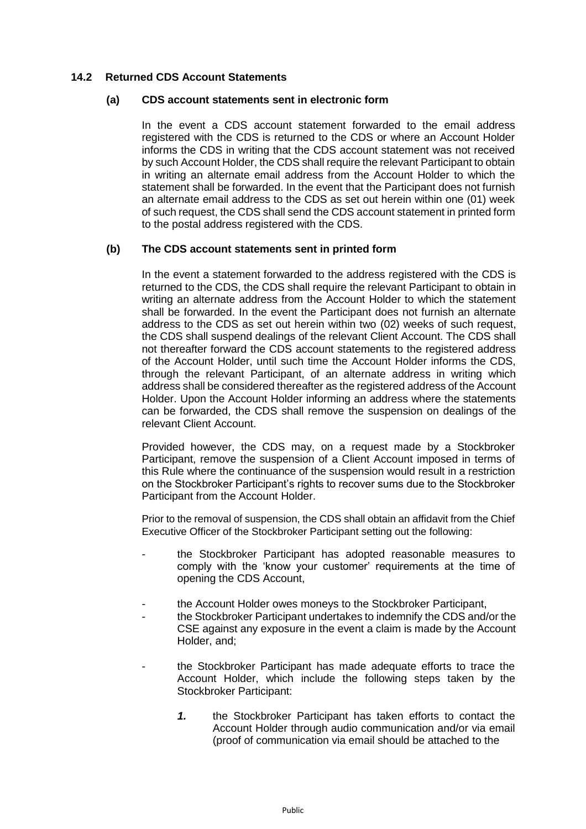# **14.2 Returned CDS Account Statements**

### **(a) CDS account statements sent in electronic form**

In the event a CDS account statement forwarded to the email address registered with the CDS is returned to the CDS or where an Account Holder informs the CDS in writing that the CDS account statement was not received by such Account Holder, the CDS shall require the relevant Participant to obtain in writing an alternate email address from the Account Holder to which the statement shall be forwarded. In the event that the Participant does not furnish an alternate email address to the CDS as set out herein within one (01) week of such request, the CDS shall send the CDS account statement in printed form to the postal address registered with the CDS.

# **(b) The CDS account statements sent in printed form**

In the event a statement forwarded to the address registered with the CDS is returned to the CDS, the CDS shall require the relevant Participant to obtain in writing an alternate address from the Account Holder to which the statement shall be forwarded. In the event the Participant does not furnish an alternate address to the CDS as set out herein within two (02) weeks of such request, the CDS shall suspend dealings of the relevant Client Account. The CDS shall not thereafter forward the CDS account statements to the registered address of the Account Holder, until such time the Account Holder informs the CDS, through the relevant Participant, of an alternate address in writing which address shall be considered thereafter as the registered address of the Account Holder. Upon the Account Holder informing an address where the statements can be forwarded, the CDS shall remove the suspension on dealings of the relevant Client Account.

Provided however, the CDS may, on a request made by a Stockbroker Participant, remove the suspension of a Client Account imposed in terms of this Rule where the continuance of the suspension would result in a restriction on the Stockbroker Participant's rights to recover sums due to the Stockbroker Participant from the Account Holder.

Prior to the removal of suspension, the CDS shall obtain an affidavit from the Chief Executive Officer of the Stockbroker Participant setting out the following:

- the Stockbroker Participant has adopted reasonable measures to comply with the 'know your customer' requirements at the time of opening the CDS Account,
- the Account Holder owes moneys to the Stockbroker Participant,
- the Stockbroker Participant undertakes to indemnify the CDS and/or the CSE against any exposure in the event a claim is made by the Account Holder, and;
- the Stockbroker Participant has made adequate efforts to trace the Account Holder, which include the following steps taken by the Stockbroker Participant:
	- *1.* the Stockbroker Participant has taken efforts to contact the Account Holder through audio communication and/or via email (proof of communication via email should be attached to the